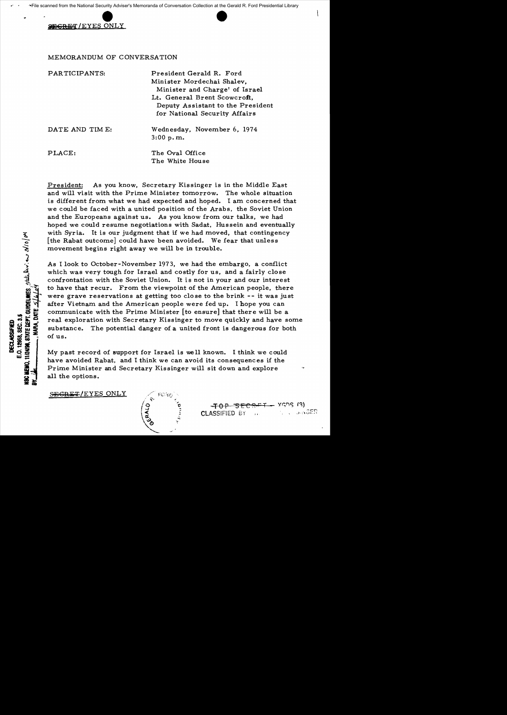e noming nanomal cooling nanos.

## MEMORANDUM OF CONVERSATION

| PARTICIPANTS:  | President Gerald R. Ford<br>Minister Mordechai Shalev,<br>Minister and Charge' of Israel<br>Lt. General Brent Scowcroft,<br>Deputy Assistant to the President<br>for National Security Affairs |
|----------------|------------------------------------------------------------------------------------------------------------------------------------------------------------------------------------------------|
| DATE AND TIME: | Wednesday, November 6, 1974<br>3:00 p.m.                                                                                                                                                       |
| PLACE:         | The Oval Office<br>The White House                                                                                                                                                             |

President: As you know, Secretary Kissinger is in the Middle East and will visit with the Prime Minister tomorrow. The whole situation is different from what we had expected and hoped. I am concerned that we could be faced with a united position of the Arabs, the Soviet Union and the Europeans against us. As you know from our talks, we had hoped we could resume negotiations with Sadat, Hussein and eventually with Syria. It is our judgment that if we had moved, that contingency [the Rabat outcome] could have been avoided. We fear that unless movement begins right away we will be in trouble.

As I look to October-November 1973, we had the embargo, a conflict which was very tough for Israel and costly for us, and a fairly close confrontation with the Soviet Union. It is not in your and our interest to have that recur. From the viewpoint of the American people, there were grave reservations at getting too close to the brink -- it was just after Vietnam and the American people were fed up. I hope you can communicate with the Prime Minister [to ensure] that there will be a real exploration with Secretary Kissinger to move quickly and have some substance. The potential danger of a united front is dangerous for both of us.

My past record of support for Israel is well known. I think we could have avoided Rabat, and I think we can avoid its consequences if the Prime Minister and Secretary Kissinger will sit down and explore all the options.

SEGRET/EYES ONLY

**HI2498, STATE DEPT. QUIDELINES**, Statularies and 2/10/04

E.O. 12958, SEC. 3.5 **DECLASSIFIED** 

 $-70P$   $5ECHFT - YGDS$  (3)  $CLASSIFIED BY$  ...,  $2.2563ER$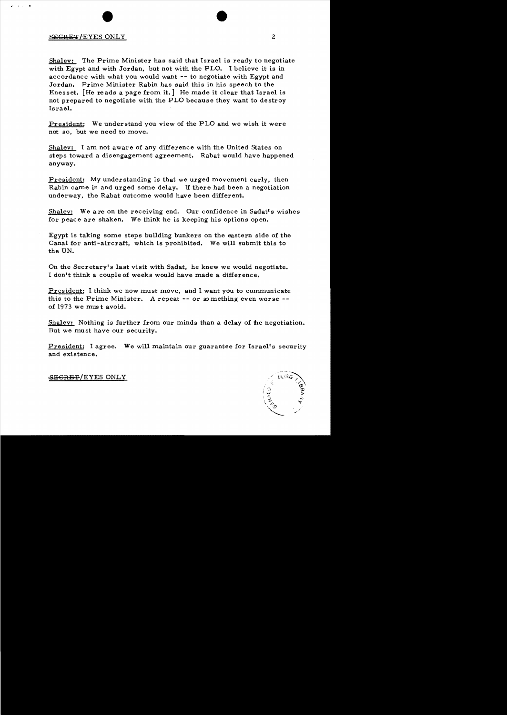## SECRET/EYES ONLY 2

 $11.1<sub>1</sub>$ 

Shalev: The Prime Minister has said that Israel is ready to negotiate with Egypt and with Jordan, but not with the PLO. I believe it is in accordance with what you would want **--** to negotiate with Egypt and Jordan. Prime Minister Rabin has said this in his speech to the Knesset. [He reads a page from it.] He made it clear that Israel is not prepared to negotiate with the PLO because they want to destroy Israel.

President: We understand you view of the PLO and we wish it were not so, but we need to move.

Sha1ev: I am not aware of any difference with the United States on steps toward a disengagement agreement. Rabat would have happened anyway.

President: My understanding is that we urged movement early, then Rabin came in and urged some delay. If there had been a negotiation underway, the Rabat outcome would have been different.

Shalev: We are on the receiving end. Our confidence in Sadat's wishes for peace are shaken. We think he is keeping his options open.

Egypt is taking some steps building bunkers on the eastern side of the Canal for anti-aircraft, which is prohibited. We will submit this to the UN.

On the Secretary's last visit with Sadat, he knew we would negotiate. I don't think a couple of weeks would have made a difference.

Eresident: I think we now must move, and I want you to communicate this to the Prime Minister. A repeat -- or so mething even worse -of 1973 we mus t avoid.

Shalev: Nothing is further from our minds than a delay of the negotiation. But we must have our security.

President: I agree. We will maintain our guarantee for Israel's security and existence.



SEGRET/EYES ONLY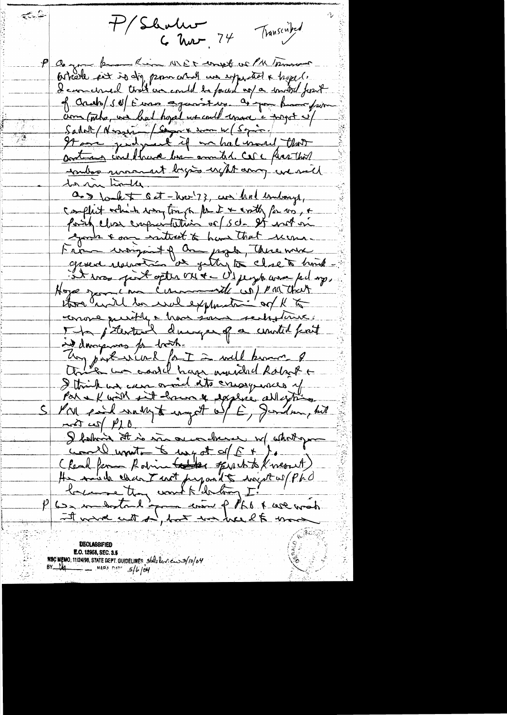P/Shalw Transcribed  $C$  har  $74$ 

**A** 

P Comme know Kim WER court or PM morning potrole est is dig promocrat un experited a hyper. I can chied that we could be found up a southed fourt of crabb/sd/Euros against up. as you have from com (onto, we had hoped we could upon a toppet of Sadat (Nossein / Come en men 1/6 spie / 1 inder warment bygins upt any we said dor man timber. as to let oct-hoo! ??, we had internet, complet which was track for it with for wo, + fority clear cooperaturion or set and on goods & one wanted to have that recome. Farme uniquet of an page, Aue mure Hope geometra commente wip pour that three and to well explanation of K to conore purity a have sont rechtaine. ind dongerous for both. Un particulat fait à will became of I think we can give its creary was of Par el main suit homme explice allegting  $\mathsf{\underline{S}}$  $-4\pi\sqrt{240}$ I following it is more orien derne w/ whoit you unity of E they don't be myself of the (Read from Robin tables of white Kner A) He mide chan T mot perposed to enjoy es pérd I wave with on, but we head to move

**DECLASSIFIED E.O. 12858, SEC. 3.5**<br>N**SC MEMO**, 11/24/98, STATE DEPT. GUIDELINES 560 elected 3/10/04